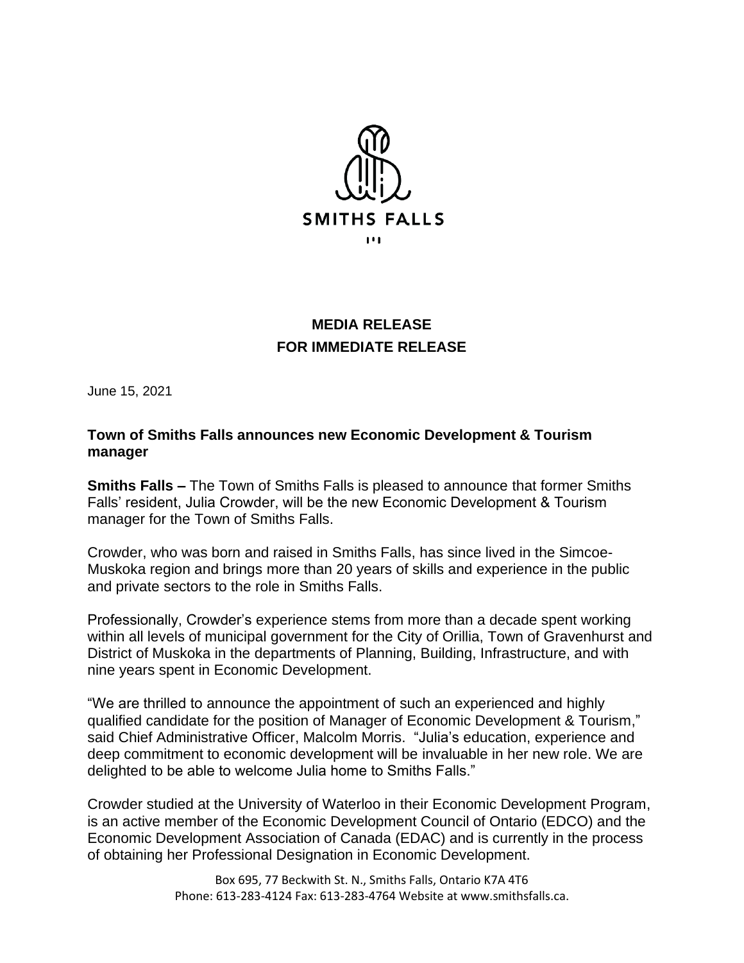

## **MEDIA RELEASE FOR IMMEDIATE RELEASE**

June 15, 2021

## **Town of Smiths Falls announces new Economic Development & Tourism manager**

**Smiths Falls –** The Town of Smiths Falls is pleased to announce that former Smiths Falls' resident, Julia Crowder, will be the new Economic Development & Tourism manager for the Town of Smiths Falls.

Crowder, who was born and raised in Smiths Falls, has since lived in the Simcoe-Muskoka region and brings more than 20 years of skills and experience in the public and private sectors to the role in Smiths Falls.

Professionally, Crowder's experience stems from more than a decade spent working within all levels of municipal government for the City of Orillia, Town of Gravenhurst and District of Muskoka in the departments of Planning, Building, Infrastructure, and with nine years spent in Economic Development.

"We are thrilled to announce the appointment of such an experienced and highly qualified candidate for the position of Manager of Economic Development & Tourism," said Chief Administrative Officer, Malcolm Morris. "Julia's education, experience and deep commitment to economic development will be invaluable in her new role. We are delighted to be able to welcome Julia home to Smiths Falls."

Crowder studied at the University of Waterloo in their Economic Development Program, is an active member of the Economic Development Council of Ontario (EDCO) and the Economic Development Association of Canada (EDAC) and is currently in the process of obtaining her Professional Designation in Economic Development.

> Box 695, 77 Beckwith St. N., Smiths Falls, Ontario K7A 4T6 Phone: 613-283-4124 Fax: 613-283-4764 Website at [www.smithsfalls.ca.](http://www.smithsfalls.ca/)